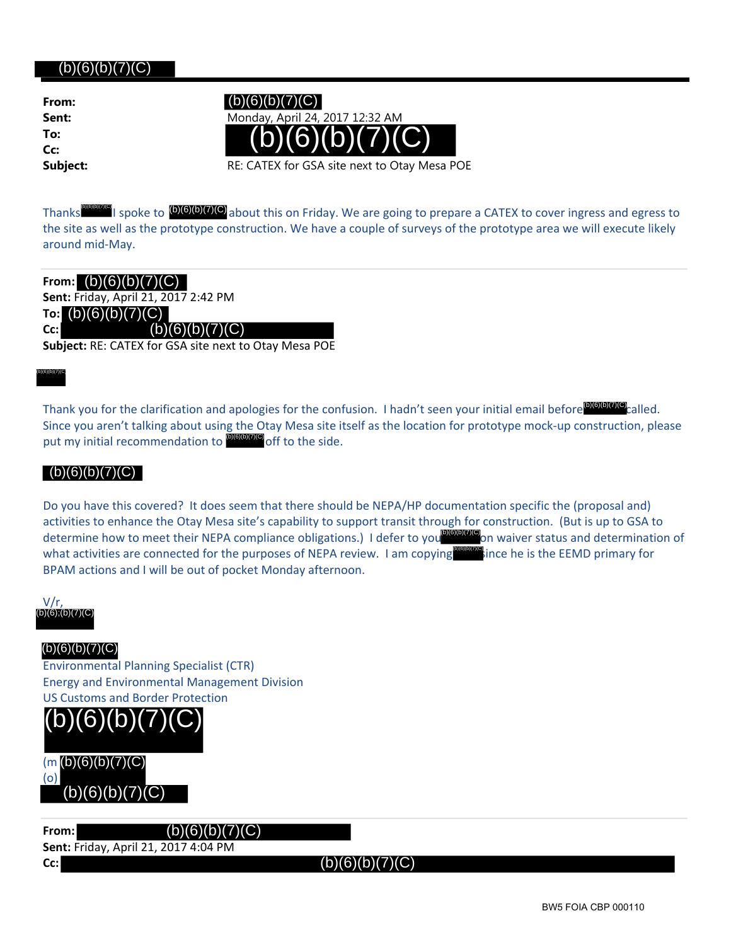## $(b)(6)(b)(7)(C)$

**From: To: Cc:**



Thanks **I spoke to <sup>(b)</sup>(6)<sup>(b)</sup>(7)<sup>(c)</sup>** about this on Friday. We are going to prepare a CATEX to cover ingress and egress to the site as well as the prototype construction. We have a couple of surveys of the prototype area we will execute likely around mid‐May.

**From: Sent:** Friday, April 21, 2017 2:42 PM **To:**  $(b)(6)(b)(7)(C)$ **Cc:**

**Subject:** RE: CATEX for GSA site next to Otay Mesa POE

(b)(6)(b)(7)(C)

L

Thank you for the clarification and apologies for the confusion. I hadn't seen your initial email before **DIGIOICICO** called. Since you aren't talking about using the Otay Mesa site itself as the location for prototype mock‐up construction, please put my initial recommendation to <sup>(6)(6)(6)(7)(6)</sup> off to the side.

#### $(b)(6)(b)(7)(C)$

Do you have this covered? It does seem that there should be NEPA/HP documentation specific the (proposal and) activities to enhance the Otay Mesa site's capability to support transit through for construction. (But is up to GSA to determine how to meet their NEPA compliance obligations.) I defer to you<sup>[016](6</sup>1017)<sup>(6)</sup>on waiver status and determination of what activities are connected for the purposes of NEPA review. I am copying BPAM actions and I will be out of pocket Monday afternoon. **(b)(b)(d)(c)** ince he is the EEMD primary for Thanks<br>
the site as well as the prototype const<br>
around mid-May.<br>
From:  $\left(\frac{b}{b}\right)\left(\frac{c}{b}\right)\left(\frac{c}{c}\right)$ <br>
Sent: Friday, April 21, 2017 2:42 PM<br>
The  $\left(\frac{b}{b}\right)\left(\frac{c}{b}\right)\left(\frac{c}{c}\right)$ <br>
Cc:<br>  $\left(\frac{b}{b}\right)\left(\frac{c}{b}\right)\left(\frac{c}{c}\right)$ 

V/r, (b)(6);(b)(7)(C) (b)(6);(b)(7)(C)

Environmental Planning Specialist (CTR) Energy and Environmental Management Division US Customs and Border Protection



**From:** (b)(6)(b)(7)(C) **Sent:** Friday, April 21, 2017 4:04 PM **Cc:**

(b)(6)(b)(7)(C)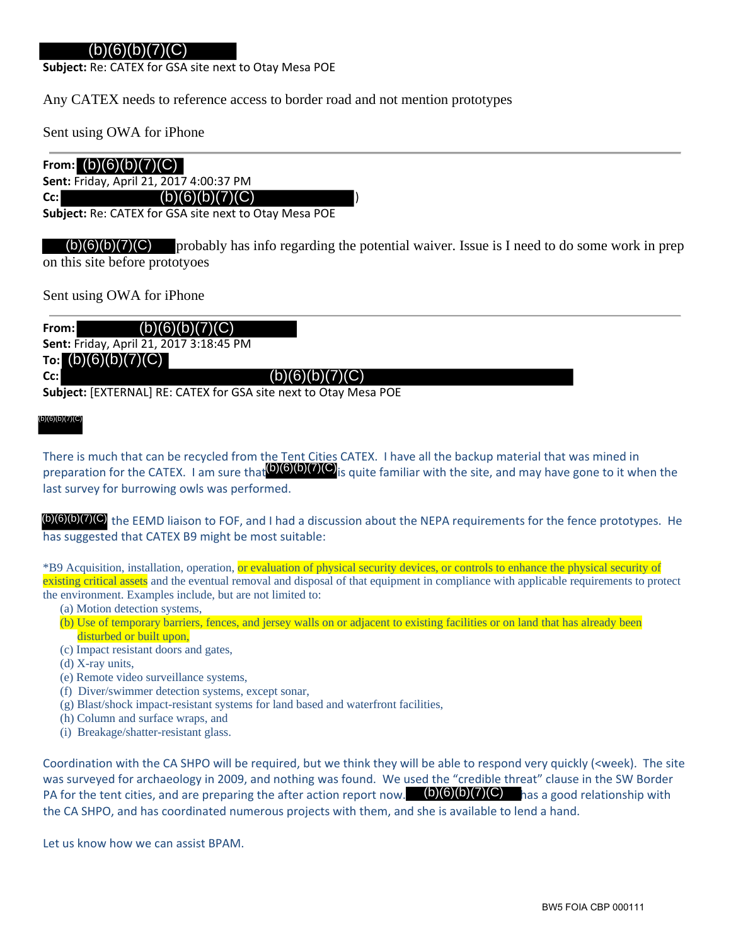### (b)(6)(b)(7)(C)

**Subject:** Re: CATEX for GSA site next to Otay Mesa POE

Any CATEX needs to reference access to border road and not mention prototypes

Sent using OWA for iPhone

### From:  $(b)(6)(b)(7)(C)$

**Sent:** Friday, April 21, 2017 4:00:37 PM

Cc: (b)(6)(b)(7)(C)

**Subject:** Re: CATEX for GSA site next to Otay Mesa POE

 $\mathcal{D}(6)(b)(7)(C)$  probably has info regarding the potential waiver. Issue is I need to do some work in prep on this site before prototyoes

Sent using OWA for iPhone

**From:**

**Sent:** Friday, April 21, 2017 3:18:45 PM

**To:**  $(b)(6)(b)(7)(C)$ 

**Cc:**

**Subject:** [EXTERNAL] RE: CATEX for GSA site next to Otay Mesa POE

 (b)(6)(b)(7)(C)

There is much that can be recycled from the Tent Cities CATEX. I have all the backup material that was mined in preparation for the CATEX. I am sure that<sup>(b)(6)(b)(7)(C)</sup>is quite familiar with the site, and may have gone to it when the last survey for burrowing owls was performed. **From: \text{[G]}(\text{[G]}(\text{[G]}(\text{[G]}(\text{[G]}(\text{[G]}(\text{[G]}(\text{[G]}(\text{[G]}(\text{[G]}(\text{[G]}(\text{[G]}(\text{[G]}(\text{[G}(\text{[G]}(\text{[G]}(\text{[G]}(\text{[G]}(\text{[G]}(\text{[G}(\text{[G]}(\text{[G]}(\text{[G]}(\text{[G]}(\text{[G]}(\text{[G]}(\text{[G]}(\text{[G]}(\text{[G]}(\text{[G]}(\text{[G]}(\text{[G]}(\text{[G]}(\text{[G]}(\text{[G]}(\text{** 

(b)(6)(b)(7)(C) the EEMD liaison to FOF, and I had a discussion about the NEPA requirements for the fence prototypes. He has suggested that CATEX B9 might be most suitable:

\*B9 Acquisition, installation, operation, or evaluation of physical security devices, or controls to enhance the physical security of existing critical assets and the eventual removal and disposal of that equipment in compliance with applicable requirements to protect the environment. Examples include, but are not limited to:

- (a) Motion detection systems,
- (b) Use of temporary barriers, fences, and jersey walls on or adjacent to existing facilities or on land that has already been disturbed or built upon,
- (c) Impact resistant doors and gates,
- (d) X-ray units,
- (e) Remote video surveillance systems,
- (f) Diver/swimmer detection systems, except sonar,
- (g) Blast/shock impact-resistant systems for land based and waterfront facilities,
- (h) Column and surface wraps, and
- (i) Breakage/shatter-resistant glass.

Coordination with the CA SHPO will be required, but we think they will be able to respond very quickly (<week). The site was surveyed for archaeology in 2009, and nothing was found. We used the "credible threat" clause in the SW Border PA for the tent cities, and are preparing the after action report now.  $(b)(6)(b)(7)(C)$  has a good relationship with the CA SHPO, and has coordinated numerous projects with them, and she is available to lend a hand.

Let us know how we can assist BPAM.